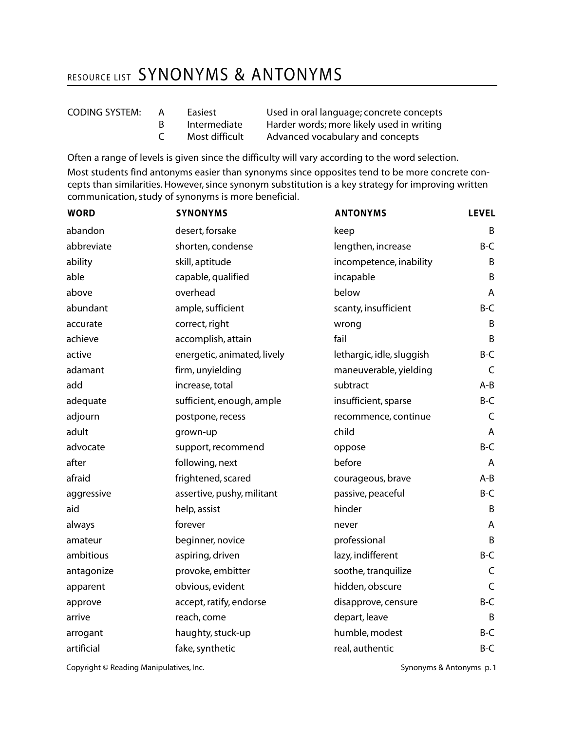## RESOURCE LIST SYNONYMS & ANTONYMS

| <b>CODING SYSTEM:</b> |  |
|-----------------------|--|
|                       |  |

- 
- 

A Easiest Used in oral language; concrete concepts B Intermediate Harder words; more likely used in writing C Most difficult Advanced vocabulary and concepts

Often a range of levels is given since the difficulty will vary according to the word selection. Most students find antonyms easier than synonyms since opposites tend to be more concrete concepts than similarities. However, since synonym substitution is a key strategy for improving written communication, study of synonyms is more beneficial.

| <b>WORD</b> | <b>SYNONYMS</b>             | <b>ANTONYMS</b>           | <b>LEVEL</b> |
|-------------|-----------------------------|---------------------------|--------------|
| abandon     | desert, forsake             | keep                      | B            |
| abbreviate  | shorten, condense           | lengthen, increase        | $B-C$        |
| ability     | skill, aptitude             | incompetence, inability   | B            |
| able        | capable, qualified          | incapable                 | B            |
| above       | overhead                    | below                     | A            |
| abundant    | ample, sufficient           | scanty, insufficient      | $B-C$        |
| accurate    | correct, right              | wrong                     | B            |
| achieve     | accomplish, attain          | fail                      | B            |
| active      | energetic, animated, lively | lethargic, idle, sluggish | B-C          |
| adamant     | firm, unyielding            | maneuverable, yielding    | C            |
| add         | increase, total             | subtract                  | $A - B$      |
| adequate    | sufficient, enough, ample   | insufficient, sparse      | B-C          |
| adjourn     | postpone, recess            | recommence, continue      | C            |
| adult       | grown-up                    | child                     | A            |
| advocate    | support, recommend          | oppose                    | B-C          |
| after       | following, next             | before                    | A            |
| afraid      | frightened, scared          | courageous, brave         | $A-B$        |
| aggressive  | assertive, pushy, militant  | passive, peaceful         | $B-C$        |
| aid         | help, assist                | hinder                    | B            |
| always      | forever                     | never                     | A            |
| amateur     | beginner, novice            | professional              | B            |
| ambitious   | aspiring, driven            | lazy, indifferent         | $B-C$        |
| antagonize  | provoke, embitter           | soothe, tranquilize       | $\mathsf C$  |
| apparent    | obvious, evident            | hidden, obscure           | C            |
| approve     | accept, ratify, endorse     | disapprove, censure       | B-C          |
| arrive      | reach, come                 | depart, leave             | B            |
| arrogant    | haughty, stuck-up           | humble, modest            | $B-C$        |
| artificial  | fake, synthetic             | real, authentic           | $B-C$        |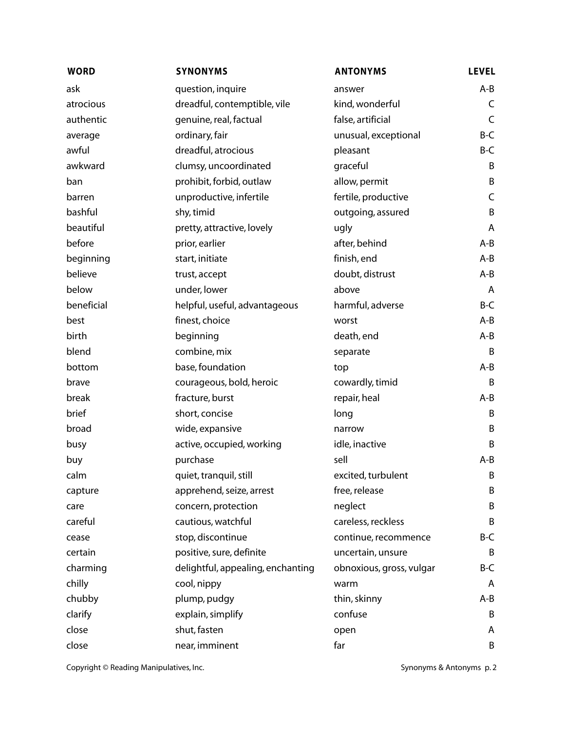| <b>WORD</b> | <b>SYNONYMS</b>                   | <b>ANTONYMS</b>          | <b>LEVEL</b> |
|-------------|-----------------------------------|--------------------------|--------------|
| ask         | question, inquire                 | answer                   | A-B          |
| atrocious   | dreadful, contemptible, vile      | kind, wonderful          | C            |
| authentic   | genuine, real, factual            | false, artificial        | $\mathsf C$  |
| average     | ordinary, fair                    | unusual, exceptional     | B-C          |
| awful       | dreadful, atrocious               | pleasant                 | B-C          |
| awkward     | clumsy, uncoordinated             | graceful                 | B            |
| ban         | prohibit, forbid, outlaw          | allow, permit            | B            |
| barren      | unproductive, infertile           | fertile, productive      | $\mathsf C$  |
| bashful     | shy, timid                        | outgoing, assured        | B            |
| beautiful   | pretty, attractive, lovely        | ugly                     | A            |
| before      | prior, earlier                    | after, behind            | $A - B$      |
| beginning   | start, initiate                   | finish, end              | $A-B$        |
| believe     | trust, accept                     | doubt, distrust          | $A-B$        |
| below       | under, lower                      | above                    | A            |
| beneficial  | helpful, useful, advantageous     | harmful, adverse         | B-C          |
| best        | finest, choice                    | worst                    | $A-B$        |
| birth       | beginning                         | death, end               | $A-B$        |
| blend       | combine, mix                      | separate                 | B            |
| bottom      | base, foundation                  | top                      | $A-B$        |
| brave       | courageous, bold, heroic          | cowardly, timid          | B            |
| break       | fracture, burst                   | repair, heal             | $A - B$      |
| brief       | short, concise                    | long                     | B            |
| broad       | wide, expansive                   | narrow                   | B            |
| busy        | active, occupied, working         | idle, inactive           | B            |
| buy         | purchase                          | sell                     | $A-B$        |
| calm        | quiet, tranquil, still            | excited, turbulent       | B            |
| capture     | apprehend, seize, arrest          | free, release            | B            |
| care        | concern, protection               | neglect                  | Β            |
| careful     | cautious, watchful                | careless, reckless       | B            |
| cease       | stop, discontinue                 | continue, recommence     | B-C          |
| certain     | positive, sure, definite          | uncertain, unsure        | B            |
| charming    | delightful, appealing, enchanting | obnoxious, gross, vulgar | B-C          |
| chilly      | cool, nippy                       | warm                     | A            |
| chubby      | plump, pudgy                      | thin, skinny             | A-B          |
| clarify     | explain, simplify                 | confuse                  | B            |
| close       | shut, fasten                      | open                     | A            |
| close       | near, imminent                    | far                      | B            |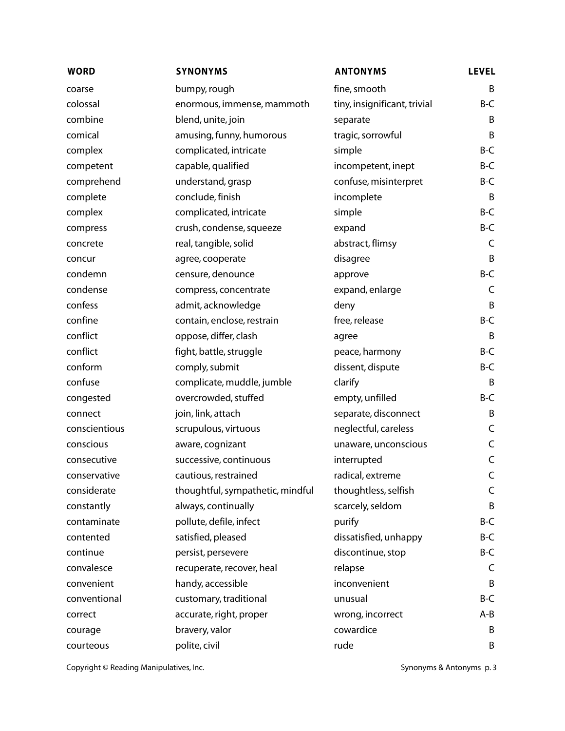| <b>WORD</b>   | <b>SYNONYMS</b>                  | <b>ANTONYMS</b>              | <b>LEVEL</b> |
|---------------|----------------------------------|------------------------------|--------------|
| coarse        | bumpy, rough                     | fine, smooth                 | B            |
| colossal      | enormous, immense, mammoth       | tiny, insignificant, trivial | B-C          |
| combine       | blend, unite, join               | separate                     | B            |
| comical       | amusing, funny, humorous         | tragic, sorrowful            | B            |
| complex       | complicated, intricate           | simple                       | B-C          |
| competent     | capable, qualified               | incompetent, inept           | B-C          |
| comprehend    | understand, grasp                | confuse, misinterpret        | B-C          |
| complete      | conclude, finish                 | incomplete                   | B            |
| complex       | complicated, intricate           | simple                       | $B-C$        |
| compress      | crush, condense, squeeze         | expand                       | B-C          |
| concrete      | real, tangible, solid            | abstract, flimsy             | C            |
| concur        | agree, cooperate                 | disagree                     | B            |
| condemn       | censure, denounce                | approve                      | B-C          |
| condense      | compress, concentrate            | expand, enlarge              | C            |
| confess       | admit, acknowledge               | deny                         | B            |
| confine       | contain, enclose, restrain       | free, release                | B-C          |
| conflict      | oppose, differ, clash            | agree                        | B            |
| conflict      | fight, battle, struggle          | peace, harmony               | B-C          |
| conform       | comply, submit                   | dissent, dispute             | B-C          |
| confuse       | complicate, muddle, jumble       | clarify                      | B            |
| congested     | overcrowded, stuffed             | empty, unfilled              | B-C          |
| connect       | join, link, attach               | separate, disconnect         | B            |
| conscientious | scrupulous, virtuous             | neglectful, careless         | C            |
| conscious     | aware, cognizant                 | unaware, unconscious         | C            |
| consecutive   | successive, continuous           | interrupted                  | $\mathsf C$  |
| conservative  | cautious, restrained             | radical, extreme             | $\mathsf C$  |
| considerate   | thoughtful, sympathetic, mindful | thoughtless, selfish         | C            |
| constantly    | always, continually              | scarcely, seldom             | B            |
| contaminate   | pollute, defile, infect          | purify                       | B-C          |
| contented     | satisfied, pleased               | dissatisfied, unhappy        | B-C          |
| continue      | persist, persevere               | discontinue, stop            | B-C          |
| convalesce    | recuperate, recover, heal        | relapse                      | C            |
| convenient    | handy, accessible                | inconvenient                 | B            |
| conventional  | customary, traditional           | unusual                      | B-C          |
| correct       | accurate, right, proper          | wrong, incorrect             | A-B          |
| courage       | bravery, valor                   | cowardice                    | B            |
| courteous     | polite, civil                    | rude                         | B            |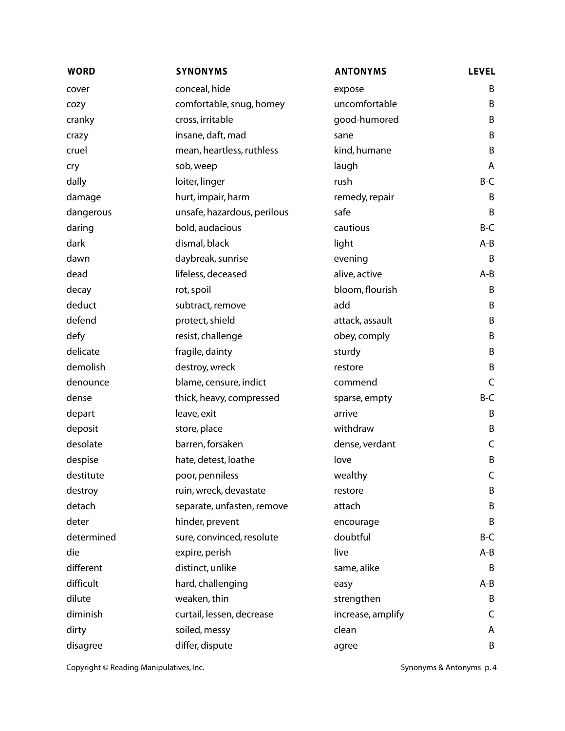| <b>WORD</b> | <b>SYNONYMS</b>             | <b>ANTONYMS</b>   | <b>LEVEL</b> |
|-------------|-----------------------------|-------------------|--------------|
| cover       | conceal, hide               | expose            | B            |
| cozy        | comfortable, snug, homey    | uncomfortable     | B            |
| cranky      | cross, irritable            | good-humored      | B            |
| crazy       | insane, daft, mad           | sane              | B            |
| cruel       | mean, heartless, ruthless   | kind, humane      | B            |
| cry         | sob, weep                   | laugh             | A            |
| dally       | loiter, linger              | rush              | B-C          |
| damage      | hurt, impair, harm          | remedy, repair    | B            |
| dangerous   | unsafe, hazardous, perilous | safe              | B            |
| daring      | bold, audacious             | cautious          | B-C          |
| dark        | dismal, black               | light             | A-B          |
| dawn        | daybreak, sunrise           | evening           | B            |
| dead        | lifeless, deceased          | alive, active     | A-B          |
| decay       | rot, spoil                  | bloom, flourish   | B            |
| deduct      | subtract, remove            | add               | B            |
| defend      | protect, shield             | attack, assault   | B            |
| defy        | resist, challenge           | obey, comply      | B            |
| delicate    | fragile, dainty             | sturdy            | B            |
| demolish    | destroy, wreck              | restore           | B            |
| denounce    | blame, censure, indict      | commend           | C            |
| dense       | thick, heavy, compressed    | sparse, empty     | B-C          |
| depart      | leave, exit                 | arrive            | B            |
| deposit     | store, place                | withdraw          | B            |
| desolate    | barren, forsaken            | dense, verdant    | C            |
| despise     | hate, detest, loathe        | love              | B            |
| destitute   | poor, penniless             | wealthy           | C            |
| destroy     | ruin, wreck, devastate      | restore           | B            |
| detach      | separate, unfasten, remove  | attach            | B            |
| deter       | hinder, prevent             | encourage         | B            |
| determined  | sure, convinced, resolute   | doubtful          | B-C          |
| die         | expire, perish              | live              | A-B          |
| different   | distinct, unlike            | same, alike       | B            |
| difficult   | hard, challenging           | easy              | A-B          |
| dilute      | weaken, thin                | strengthen        | B            |
| diminish    | curtail, lessen, decrease   | increase, amplify | C            |
| dirty       | soiled, messy               | clean             | A            |
| disagree    | differ, dispute             | agree             | B            |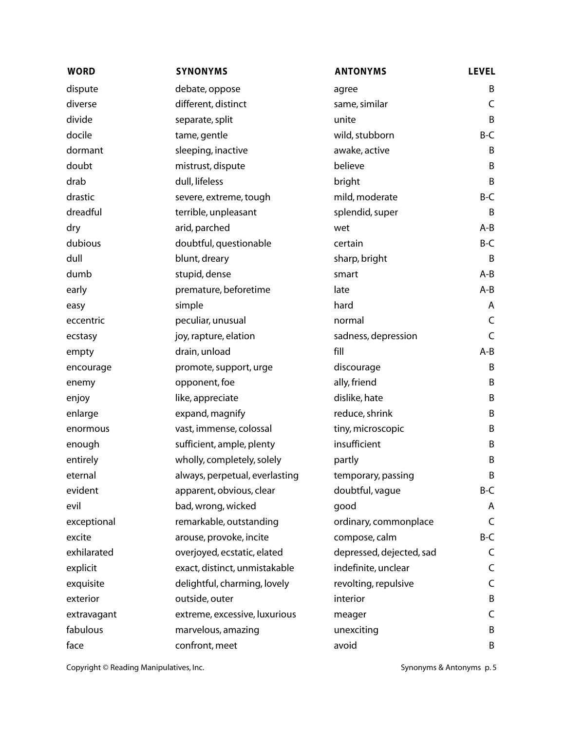| <b>WORD</b> | <b>SYNONYMS</b>                | <b>ANTONYMS</b>          | <b>LEVEL</b> |
|-------------|--------------------------------|--------------------------|--------------|
| dispute     | debate, oppose                 | agree                    | B            |
| diverse     | different, distinct            | same, similar            | C            |
| divide      | separate, split                | unite                    | B            |
| docile      | tame, gentle                   | wild, stubborn           | B-C          |
| dormant     | sleeping, inactive             | awake, active            | B            |
| doubt       | mistrust, dispute              | believe                  | B            |
| drab        | dull, lifeless                 | bright                   | B            |
| drastic     | severe, extreme, tough         | mild, moderate           | B-C          |
| dreadful    | terrible, unpleasant           | splendid, super          | B            |
| dry         | arid, parched                  | wet                      | A-B          |
| dubious     | doubtful, questionable         | certain                  | B-C          |
| dull        | blunt, dreary                  | sharp, bright            | B            |
| dumb        | stupid, dense                  | smart                    | $A - B$      |
| early       | premature, beforetime          | late                     | A-B          |
| easy        | simple                         | hard                     | A            |
| eccentric   | peculiar, unusual              | normal                   | C            |
| ecstasy     | joy, rapture, elation          | sadness, depression      | $\mathsf C$  |
| empty       | drain, unload                  | fill                     | $A - B$      |
| encourage   | promote, support, urge         | discourage               | B            |
| enemy       | opponent, foe                  | ally, friend             | B            |
| enjoy       | like, appreciate               | dislike, hate            | B            |
| enlarge     | expand, magnify                | reduce, shrink           | B            |
| enormous    | vast, immense, colossal        | tiny, microscopic        | B            |
| enough      | sufficient, ample, plenty      | insufficient             | B            |
| entirely    | wholly, completely, solely     | partly                   | B            |
| eternal     | always, perpetual, everlasting | temporary, passing       | B            |
| evident     | apparent, obvious, clear       | doubtful, vague          | B-C          |
| evil        | bad, wrong, wicked             | good                     | A            |
| exceptional | remarkable, outstanding        | ordinary, commonplace    | C            |
| excite      | arouse, provoke, incite        | compose, calm            | B-C          |
| exhilarated | overjoyed, ecstatic, elated    | depressed, dejected, sad | C            |
| explicit    | exact, distinct, unmistakable  | indefinite, unclear      | C            |
| exquisite   | delightful, charming, lovely   | revolting, repulsive     | C            |
| exterior    | outside, outer                 | interior                 | B            |
| extravagant | extreme, excessive, luxurious  | meager                   | C            |
| fabulous    | marvelous, amazing             | unexciting               | B            |
| face        | confront, meet                 | avoid                    | B            |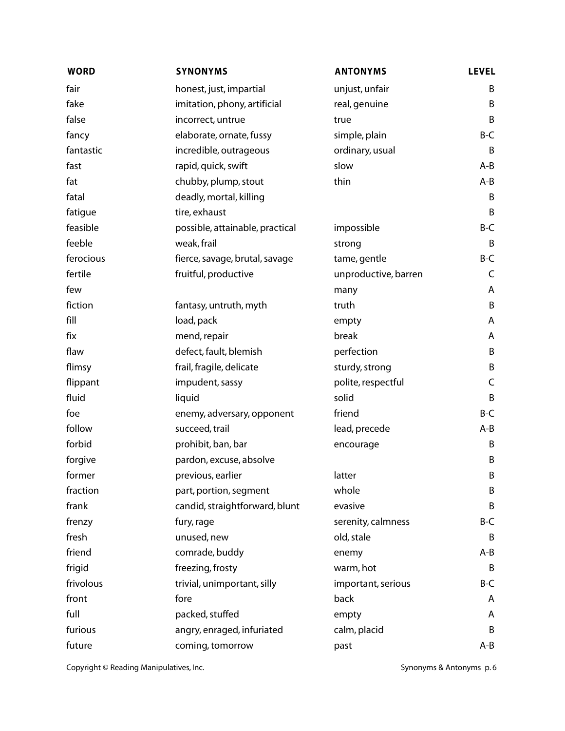| <b>WORD</b> | <b>SYNONYMS</b>                 | <b>ANTONYMS</b>      | <b>LEVEL</b> |
|-------------|---------------------------------|----------------------|--------------|
| fair        | honest, just, impartial         | unjust, unfair       | B            |
| fake        | imitation, phony, artificial    | real, genuine        | B            |
| false       | incorrect, untrue               | true                 | B            |
| fancy       | elaborate, ornate, fussy        | simple, plain        | B-C          |
| fantastic   | incredible, outrageous          | ordinary, usual      | B            |
| fast        | rapid, quick, swift             | slow                 | A-B          |
| fat         | chubby, plump, stout            | thin                 | A-B          |
| fatal       | deadly, mortal, killing         |                      | B            |
| fatigue     | tire, exhaust                   |                      | B            |
| feasible    | possible, attainable, practical | impossible           | B-C          |
| feeble      | weak, frail                     | strong               | B            |
| ferocious   | fierce, savage, brutal, savage  | tame, gentle         | B-C          |
| fertile     | fruitful, productive            | unproductive, barren | C            |
| few         |                                 | many                 | A            |
| fiction     | fantasy, untruth, myth          | truth                | B            |
| fill        | load, pack                      | empty                | A            |
| fix         | mend, repair                    | break                | A            |
| flaw        | defect, fault, blemish          | perfection           | B            |
| flimsy      | frail, fragile, delicate        | sturdy, strong       | B            |
| flippant    | impudent, sassy                 | polite, respectful   | C            |
| fluid       | liquid                          | solid                | B            |
| foe         | enemy, adversary, opponent      | friend               | B-C          |
| follow      | succeed, trail                  | lead, precede        | A-B          |
| forbid      | prohibit, ban, bar              | encourage            | Β            |
| forgive     | pardon, excuse, absolve         |                      | B            |
| former      | previous, earlier               | latter               | B            |
| fraction    | part, portion, segment          | whole                | B            |
| frank       | candid, straightforward, blunt  | evasive              | B            |
| frenzy      | fury, rage                      | serenity, calmness   | B-C          |
| fresh       | unused, new                     | old, stale           | B            |
| friend      | comrade, buddy                  | enemy                | $A - B$      |
| frigid      | freezing, frosty                | warm, hot            | B            |
| frivolous   | trivial, unimportant, silly     | important, serious   | B-C          |
| front       | fore                            | back                 | A            |
| full        | packed, stuffed                 | empty                | A            |
| furious     | angry, enraged, infuriated      | calm, placid         | B            |
| future      | coming, tomorrow                | past                 | A-B          |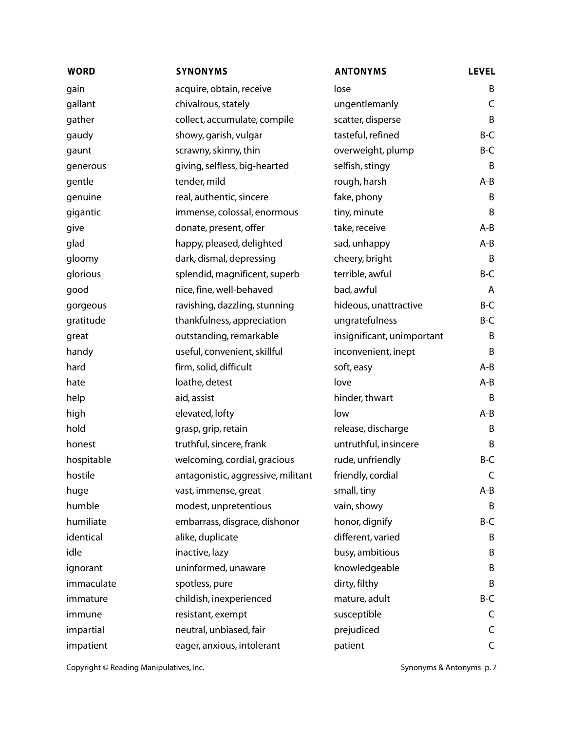| <b>WORD</b> | <b>SYNONYMS</b>                    | <b>ANTONYMS</b>            | <b>LEVEL</b> |
|-------------|------------------------------------|----------------------------|--------------|
| gain        | acquire, obtain, receive           | lose                       | B            |
| gallant     | chivalrous, stately                | ungentlemanly              | C            |
| gather      | collect, accumulate, compile       | scatter, disperse          | B            |
| gaudy       | showy, garish, vulgar              | tasteful, refined          | B-C          |
| gaunt       | scrawny, skinny, thin              | overweight, plump          | B-C          |
| generous    | giving, selfless, big-hearted      | selfish, stingy            | Β            |
| gentle      | tender, mild                       | rough, harsh               | $A - B$      |
| genuine     | real, authentic, sincere           | fake, phony                | B            |
| gigantic    | immense, colossal, enormous        | tiny, minute               | B            |
| give        | donate, present, offer             | take, receive              | $A - B$      |
| glad        | happy, pleased, delighted          | sad, unhappy               | A-B          |
| gloomy      | dark, dismal, depressing           | cheery, bright             | B            |
| glorious    | splendid, magnificent, superb      | terrible, awful            | B-C          |
| good        | nice, fine, well-behaved           | bad, awful                 | A            |
| gorgeous    | ravishing, dazzling, stunning      | hideous, unattractive      | B-C          |
| gratitude   | thankfulness, appreciation         | ungratefulness             | B-C          |
| great       | outstanding, remarkable            | insignificant, unimportant | B            |
| handy       | useful, convenient, skillful       | inconvenient, inept        | B            |
| hard        | firm, solid, difficult             | soft, easy                 | $A - B$      |
| hate        | loathe, detest                     | love                       | A-B          |
| help        | aid, assist                        | hinder, thwart             | B            |
| high        | elevated, lofty                    | low                        | $A - B$      |
| hold        | grasp, grip, retain                | release, discharge         | B            |
| honest      | truthful, sincere, frank           | untruthful, insincere      | B            |
| hospitable  | welcoming, cordial, gracious       | rude, unfriendly           | B-C          |
| hostile     | antagonistic, aggressive, militant | friendly, cordial          | C            |
| huge        | vast, immense, great               | small, tiny                | A-B          |
| humble      | modest, unpretentious              | vain, showy                | B            |
| humiliate   | embarrass, disgrace, dishonor      | honor, dignify             | B-C          |
| identical   | alike, duplicate                   | different, varied          | B            |
| idle        | inactive, lazy                     | busy, ambitious            | B            |
| ignorant    | uninformed, unaware                | knowledgeable              | B            |
| immaculate  | spotless, pure                     | dirty, filthy              | B            |
| immature    | childish, inexperienced            | mature, adult              | B-C          |
| immune      | resistant, exempt                  | susceptible                | C            |
| impartial   | neutral, unbiased, fair            | prejudiced                 | C            |
| impatient   | eager, anxious, intolerant         | patient                    | $\mathsf C$  |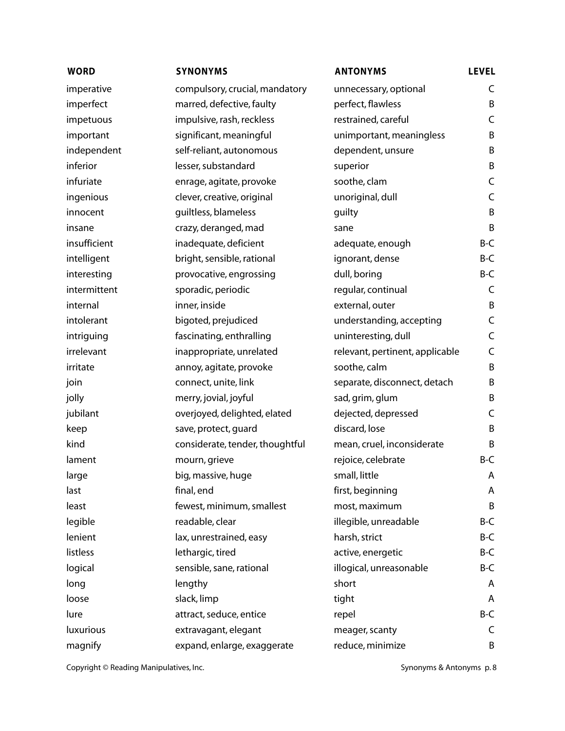| <b>WORD</b>  | <b>SYNONYMS</b>                 | <b>ANTONYMS</b>                 | <b>LEVEL</b> |
|--------------|---------------------------------|---------------------------------|--------------|
| imperative   | compulsory, crucial, mandatory  | unnecessary, optional           | C            |
| imperfect    | marred, defective, faulty       | perfect, flawless               | B            |
| impetuous    | impulsive, rash, reckless       | restrained, careful             | C            |
| important    | significant, meaningful         | unimportant, meaningless        | B            |
| independent  | self-reliant, autonomous        | dependent, unsure               | B            |
| inferior     | lesser, substandard             | superior                        | B            |
| infuriate    | enrage, agitate, provoke        | soothe, clam                    | C            |
| ingenious    | clever, creative, original      | unoriginal, dull                | C            |
| innocent     | guiltless, blameless            | guilty                          | B            |
| insane       | crazy, deranged, mad            | sane                            | B            |
| insufficient | inadequate, deficient           | adequate, enough                | B-C          |
| intelligent  | bright, sensible, rational      | ignorant, dense                 | B-C          |
| interesting  | provocative, engrossing         | dull, boring                    | B-C          |
| intermittent | sporadic, periodic              | regular, continual              | C            |
| internal     | inner, inside                   | external, outer                 | B            |
| intolerant   | bigoted, prejudiced             | understanding, accepting        | C            |
| intriguing   | fascinating, enthralling        | uninteresting, dull             | C            |
| irrelevant   | inappropriate, unrelated        | relevant, pertinent, applicable | C            |
| irritate     | annoy, agitate, provoke         | soothe, calm                    | B            |
| join         | connect, unite, link            | separate, disconnect, detach    | B            |
| jolly        | merry, jovial, joyful           | sad, grim, glum                 | B            |
| jubilant     | overjoyed, delighted, elated    | dejected, depressed             | C            |
| keep         | save, protect, guard            | discard, lose                   | B            |
| kind         | considerate, tender, thoughtful | mean, cruel, inconsiderate      | B            |
| lament       | mourn, grieve                   | rejoice, celebrate              | B-C          |
| large        | big, massive, huge              | small, little                   | A            |
| last         | final, end                      | first, beginning                | Α            |
| least        | fewest, minimum, smallest       | most, maximum                   | B            |
| legible      | readable, clear                 | illegible, unreadable           | B-C          |
| lenient      | lax, unrestrained, easy         | harsh, strict                   | B-C          |
| listless     | lethargic, tired                | active, energetic               | B-C          |
| logical      | sensible, sane, rational        | illogical, unreasonable         | B-C          |
| long         | lengthy                         | short                           | A            |
| loose        | slack, limp                     | tight                           | A            |
| lure         | attract, seduce, entice         | repel                           | B-C          |
| luxurious    | extravagant, elegant            | meager, scanty                  | C            |
| magnify      | expand, enlarge, exaggerate     | reduce, minimize                | B            |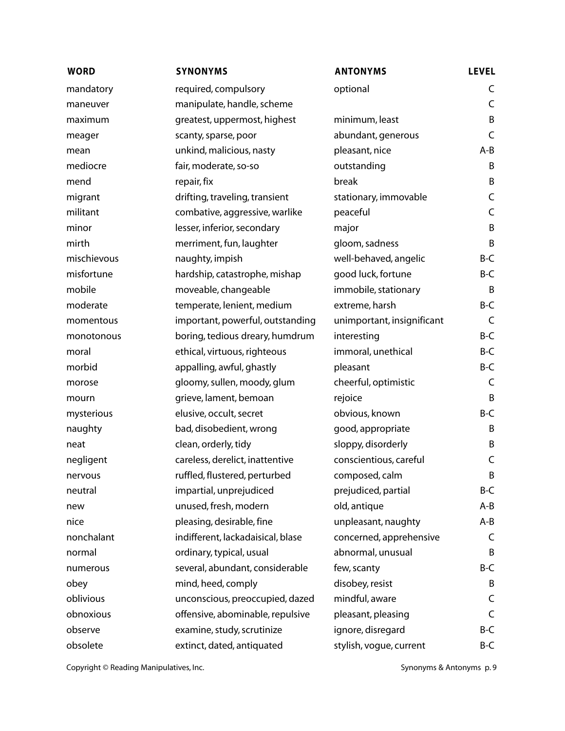| <b>WORD</b> | <b>SYNONYMS</b>                   | <b>ANTONYMS</b>            | <b>LEVEL</b> |
|-------------|-----------------------------------|----------------------------|--------------|
| mandatory   | required, compulsory              | optional                   | C            |
| maneuver    | manipulate, handle, scheme        |                            | $\mathsf C$  |
| maximum     | greatest, uppermost, highest      | minimum, least             | B            |
| meager      | scanty, sparse, poor              | abundant, generous         | $\mathsf C$  |
| mean        | unkind, malicious, nasty          | pleasant, nice             | A-B          |
| mediocre    | fair, moderate, so-so             | outstanding                | B            |
| mend        | repair, fix                       | break                      | B            |
| migrant     | drifting, traveling, transient    | stationary, immovable      | C            |
| militant    | combative, aggressive, warlike    | peaceful                   | C            |
| minor       | lesser, inferior, secondary       | major                      | B            |
| mirth       | merriment, fun, laughter          | gloom, sadness             | B            |
| mischievous | naughty, impish                   | well-behaved, angelic      | B-C          |
| misfortune  | hardship, catastrophe, mishap     | good luck, fortune         | B-C          |
| mobile      | moveable, changeable              | immobile, stationary       | B            |
| moderate    | temperate, lenient, medium        | extreme, harsh             | B-C          |
| momentous   | important, powerful, outstanding  | unimportant, insignificant | $\mathsf C$  |
| monotonous  | boring, tedious dreary, humdrum   | interesting                | B-C          |
| moral       | ethical, virtuous, righteous      | immoral, unethical         | B-C          |
| morbid      | appalling, awful, ghastly         | pleasant                   | B-C          |
| morose      | gloomy, sullen, moody, glum       | cheerful, optimistic       | C            |
| mourn       | grieve, lament, bemoan            | rejoice                    | B            |
| mysterious  | elusive, occult, secret           | obvious, known             | B-C          |
| naughty     | bad, disobedient, wrong           | good, appropriate          | B            |
| neat        | clean, orderly, tidy              | sloppy, disorderly         | B            |
| negligent   | careless, derelict, inattentive   | conscientious, careful     | C            |
| nervous     | ruffled, flustered, perturbed     | composed, calm             | B            |
| neutral     | impartial, unprejudiced           | prejudiced, partial        | B-C          |
| new         | unused, fresh, modern             | old, antique               | A-B          |
| nice        | pleasing, desirable, fine         | unpleasant, naughty        | A-B          |
| nonchalant  | indifferent, lackadaisical, blase | concerned, apprehensive    | C            |
| normal      | ordinary, typical, usual          | abnormal, unusual          | B            |
| numerous    | several, abundant, considerable   | few, scanty                | B-C          |
| obey        | mind, heed, comply                | disobey, resist            | B            |
| oblivious   | unconscious, preoccupied, dazed   | mindful, aware             | C            |
| obnoxious   | offensive, abominable, repulsive  | pleasant, pleasing         | C            |
| observe     | examine, study, scrutinize        | ignore, disregard          | B-C          |
| obsolete    | extinct, dated, antiquated        | stylish, vogue, current    | B-C          |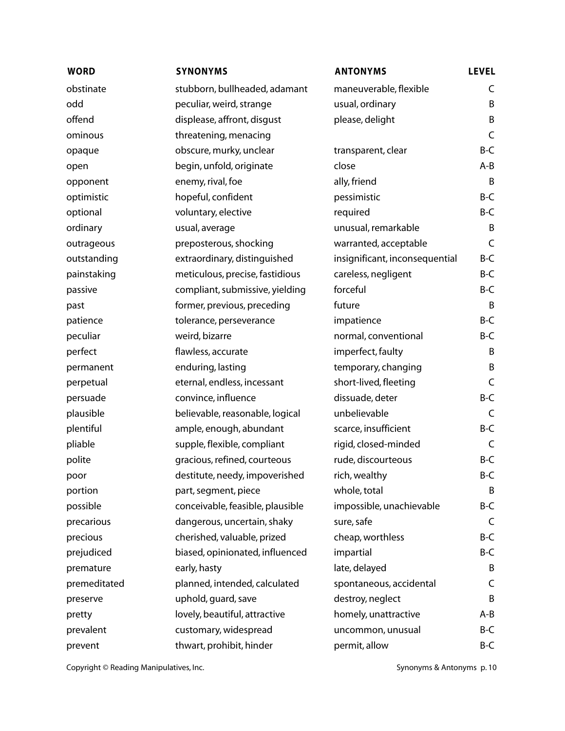| <b>WORD</b>  | <b>SYNONYMS</b>                  | <b>ANTONYMS</b>                | <b>LEVEL</b> |
|--------------|----------------------------------|--------------------------------|--------------|
| obstinate    | stubborn, bullheaded, adamant    | maneuverable, flexible         | C            |
| odd          | peculiar, weird, strange         | usual, ordinary                | B            |
| offend       | displease, affront, disgust      | please, delight                | B            |
| ominous      | threatening, menacing            |                                | C            |
| opaque       | obscure, murky, unclear          | transparent, clear             | B-C          |
| open         | begin, unfold, originate         | close                          | $A - B$      |
| opponent     | enemy, rival, foe                | ally, friend                   | B            |
| optimistic   | hopeful, confident               | pessimistic                    | $B-C$        |
| optional     | voluntary, elective              | required                       | B-C          |
| ordinary     | usual, average                   | unusual, remarkable            | B            |
| outrageous   | preposterous, shocking           | warranted, acceptable          | C            |
| outstanding  | extraordinary, distinguished     | insignificant, inconsequential | B-C          |
| painstaking  | meticulous, precise, fastidious  | careless, negligent            | B-C          |
| passive      | compliant, submissive, yielding  | forceful                       | B-C          |
| past         | former, previous, preceding      | future                         | B            |
| patience     | tolerance, perseverance          | impatience                     | B-C          |
| peculiar     | weird, bizarre                   | normal, conventional           | B-C          |
| perfect      | flawless, accurate               | imperfect, faulty              | B            |
| permanent    | enduring, lasting                | temporary, changing            | B            |
| perpetual    | eternal, endless, incessant      | short-lived, fleeting          | C            |
| persuade     | convince, influence              | dissuade, deter                | B-C          |
| plausible    | believable, reasonable, logical  | unbelievable                   | C            |
| plentiful    | ample, enough, abundant          | scarce, insufficient           | B-C          |
| pliable      | supple, flexible, compliant      | rigid, closed-minded           | C            |
| polite       | gracious, refined, courteous     | rude, discourteous             | $B-C$        |
| poor         | destitute, needy, impoverished   | rich, wealthy                  | B-C          |
| portion      | part, segment, piece             | whole, total                   | B            |
| possible     | conceivable, feasible, plausible | impossible, unachievable       | B-C          |
| precarious   | dangerous, uncertain, shaky      | sure, safe                     | C            |
| precious     | cherished, valuable, prized      | cheap, worthless               | B-C          |
| prejudiced   | biased, opinionated, influenced  | impartial                      | B-C          |
| premature    | early, hasty                     | late, delayed                  | B            |
| premeditated | planned, intended, calculated    | spontaneous, accidental        | C            |
| preserve     | uphold, guard, save              | destroy, neglect               | B            |
| pretty       | lovely, beautiful, attractive    | homely, unattractive           | A-B          |
| prevalent    | customary, widespread            | uncommon, unusual              | B-C          |
| prevent      | thwart, prohibit, hinder         | permit, allow                  | B-C          |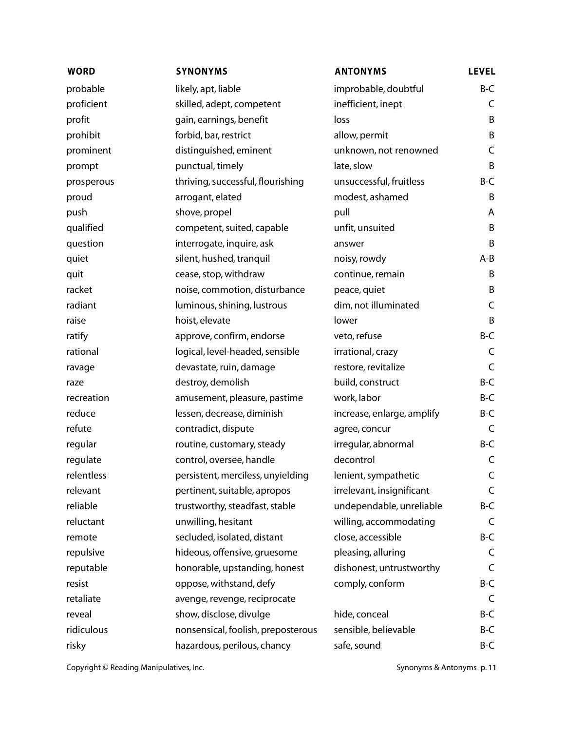| <b>WORD</b> | <b>SYNONYMS</b>                    | <b>ANTONYMS</b>            | <b>LEVEL</b> |
|-------------|------------------------------------|----------------------------|--------------|
| probable    | likely, apt, liable                | improbable, doubtful       | $B-C$        |
| proficient  | skilled, adept, competent          | inefficient, inept         | C            |
| profit      | gain, earnings, benefit            | loss                       | B            |
| prohibit    | forbid, bar, restrict              | allow, permit              | B            |
| prominent   | distinguished, eminent             | unknown, not renowned      | C            |
| prompt      | punctual, timely                   | late, slow                 | B            |
| prosperous  | thriving, successful, flourishing  | unsuccessful, fruitless    | B-C          |
| proud       | arrogant, elated                   | modest, ashamed            | B            |
| push        | shove, propel                      | pull                       | A            |
| qualified   | competent, suited, capable         | unfit, unsuited            | B            |
| question    | interrogate, inquire, ask          | answer                     | B            |
| quiet       | silent, hushed, tranquil           | noisy, rowdy               | $A - B$      |
| quit        | cease, stop, withdraw              | continue, remain           | B            |
| racket      | noise, commotion, disturbance      | peace, quiet               | B            |
| radiant     | luminous, shining, lustrous        | dim, not illuminated       | $\mathsf C$  |
| raise       | hoist, elevate                     | lower                      | B            |
| ratify      | approve, confirm, endorse          | veto, refuse               | B-C          |
| rational    | logical, level-headed, sensible    | irrational, crazy          | C            |
| ravage      | devastate, ruin, damage            | restore, revitalize        | $\mathsf C$  |
| raze        | destroy, demolish                  | build, construct           | $B-C$        |
| recreation  | amusement, pleasure, pastime       | work, labor                | B-C          |
| reduce      | lessen, decrease, diminish         | increase, enlarge, amplify | B-C          |
| refute      | contradict, dispute                | agree, concur              | C            |
| regular     | routine, customary, steady         | irregular, abnormal        | B-C          |
| regulate    | control, oversee, handle           | decontrol                  | $\mathsf C$  |
| relentless  | persistent, merciless, unyielding  | lenient, sympathetic       | C            |
| relevant    | pertinent, suitable, apropos       | irrelevant, insignificant  | C            |
| reliable    | trustworthy, steadfast, stable     | undependable, unreliable   | B-C          |
| reluctant   | unwilling, hesitant                | willing, accommodating     | C            |
| remote      | secluded, isolated, distant        | close, accessible          | B-C          |
| repulsive   | hideous, offensive, gruesome       | pleasing, alluring         | C            |
| reputable   | honorable, upstanding, honest      | dishonest, untrustworthy   | $\mathsf C$  |
| resist      | oppose, withstand, defy            | comply, conform            | B-C          |
| retaliate   | avenge, revenge, reciprocate       |                            | C            |
| reveal      | show, disclose, divulge            | hide, conceal              | B-C          |
| ridiculous  | nonsensical, foolish, preposterous | sensible, believable       | B-C          |
| risky       | hazardous, perilous, chancy        | safe, sound                | B-C          |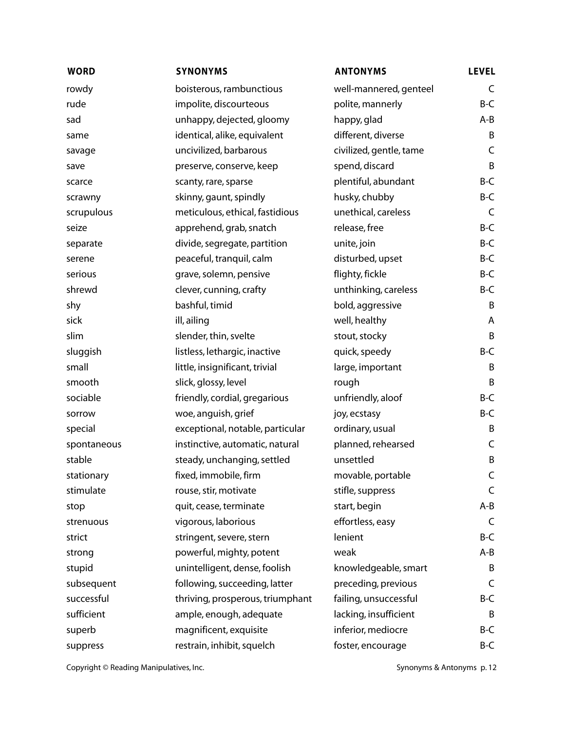| <b>WORD</b> | <b>SYNONYMS</b>                  | <b>ANTONYMS</b>         | <b>LEVEL</b> |
|-------------|----------------------------------|-------------------------|--------------|
| rowdy       | boisterous, rambunctious         | well-mannered, genteel  | C            |
| rude        | impolite, discourteous           | polite, mannerly        | B-C          |
| sad         | unhappy, dejected, gloomy        | happy, glad             | A-B          |
| same        | identical, alike, equivalent     | different, diverse      | B            |
| savage      | uncivilized, barbarous           | civilized, gentle, tame | C            |
| save        | preserve, conserve, keep         | spend, discard          | B            |
| scarce      | scanty, rare, sparse             | plentiful, abundant     | B-C          |
| scrawny     | skinny, gaunt, spindly           | husky, chubby           | B-C          |
| scrupulous  | meticulous, ethical, fastidious  | unethical, careless     | C            |
| seize       | apprehend, grab, snatch          | release, free           | B-C          |
| separate    | divide, segregate, partition     | unite, join             | B-C          |
| serene      | peaceful, tranquil, calm         | disturbed, upset        | B-C          |
| serious     | grave, solemn, pensive           | flighty, fickle         | B-C          |
| shrewd      | clever, cunning, crafty          | unthinking, careless    | B-C          |
| shy         | bashful, timid                   | bold, aggressive        | B            |
| sick        | ill, ailing                      | well, healthy           | A            |
| slim        | slender, thin, svelte            | stout, stocky           | B            |
| sluggish    | listless, lethargic, inactive    | quick, speedy           | B-C          |
| small       | little, insignificant, trivial   | large, important        | B            |
| smooth      | slick, glossy, level             | rough                   | B            |
| sociable    | friendly, cordial, gregarious    | unfriendly, aloof       | B-C          |
| sorrow      | woe, anguish, grief              | joy, ecstasy            | B-C          |
| special     | exceptional, notable, particular | ordinary, usual         | B            |
| spontaneous | instinctive, automatic, natural  | planned, rehearsed      | C            |
| stable      | steady, unchanging, settled      | unsettled               | B            |
| stationary  | fixed, immobile, firm            | movable, portable       | C            |
| stimulate   | rouse, stir, motivate            | stifle, suppress        | C            |
| stop        | quit, cease, terminate           | start, begin            | A-B          |
| strenuous   | vigorous, laborious              | effortless, easy        | C            |
| strict      | stringent, severe, stern         | lenient                 | B-C          |
| strong      | powerful, mighty, potent         | weak                    | A-B          |
| stupid      | unintelligent, dense, foolish    | knowledgeable, smart    | B            |
| subsequent  | following, succeeding, latter    | preceding, previous     | C            |
| successful  | thriving, prosperous, triumphant | failing, unsuccessful   | B-C          |
| sufficient  | ample, enough, adequate          | lacking, insufficient   | B            |
| superb      | magnificent, exquisite           | inferior, mediocre      | B-C          |
| suppress    | restrain, inhibit, squelch       | foster, encourage       | B-C          |